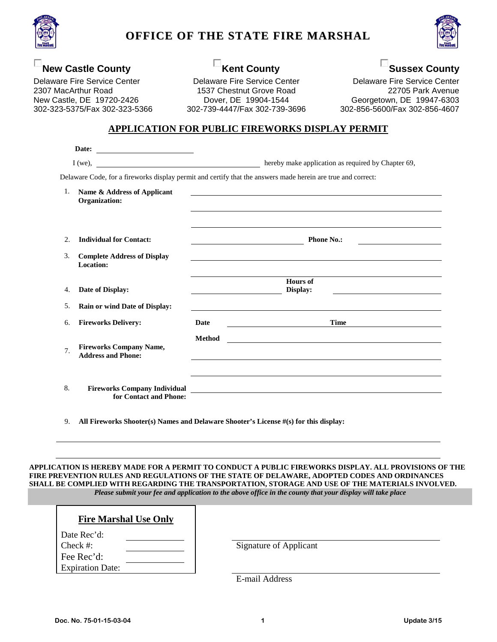

## **OFFICE OF THE STATE FIRE MARSHAL**



### **New Castle County**

Delaware Fire Service Center 2307 MacArthur Road New Castle, DE 19720-2426 302-323-5375/Fax 302-323-5366

# **Kent County**

Delaware Fire Service Center 1537 Chestnut Grove Road Dover, DE 19904-1544 302-739-4447/Fax 302-739-3696

**Sussex County** Delaware Fire Service Center 22705 Park Avenue Georgetown, DE 19947-6303 302-856-5600/Fax 302-856-4607

#### **APPLICATION FOR PUBLIC FIREWORKS DISPLAY PERMIT**

|     | Date:<br><u> Alexandria de la contexta de la contexta de la contexta de la contexta de la contexta de la contexta de la c</u> |                                                                                                                                                                             |  |
|-----|-------------------------------------------------------------------------------------------------------------------------------|-----------------------------------------------------------------------------------------------------------------------------------------------------------------------------|--|
|     |                                                                                                                               |                                                                                                                                                                             |  |
|     |                                                                                                                               | Delaware Code, for a fireworks display permit and certify that the answers made herein are true and correct:                                                                |  |
| 1.  | Name & Address of Applicant<br>Organization:                                                                                  |                                                                                                                                                                             |  |
|     |                                                                                                                               |                                                                                                                                                                             |  |
| 2.  | <b>Individual for Contact:</b>                                                                                                | <b>Phone No.:</b>                                                                                                                                                           |  |
| 3.  | <b>Complete Address of Display</b><br>Location:                                                                               |                                                                                                                                                                             |  |
| 4.  | Date of Display:                                                                                                              | <b>Hours of</b><br>Display:<br><u> 1989 - Johann Barnett, fransk politik (</u><br>the control of the control of the control of the control of the control of the control of |  |
| .5. | Rain or wind Date of Display:                                                                                                 |                                                                                                                                                                             |  |
| 6.  | <b>Fireworks Delivery:</b>                                                                                                    | <b>Time</b><br><b>Date</b>                                                                                                                                                  |  |
| 7.  | <b>Fireworks Company Name,</b><br><b>Address and Phone:</b>                                                                   | <b>Method</b><br><u> 1989 - Johann Harry Barn, mars ar brenin beskriuwer yn de ferfinning yn de ferfinning yn de ferfinning yn de</u>                                       |  |
|     |                                                                                                                               |                                                                                                                                                                             |  |
| 8.  | <b>Fireworks Company Individual</b><br>for Contact and Phone:                                                                 |                                                                                                                                                                             |  |

9. **All Fireworks Shooter(s) Names and Delaware Shooter's License #(s) for this display:**

#### **APPLICATION IS HEREBY MADE FOR A PERMIT TO CONDUCT A PUBLIC FIREWORKS DISPLAY. ALL PROVISIONS OF THE FIRE PREVENTION RULES AND REGULATIONS OF THE STATE OF DELAWARE, ADOPTED CODES AND ORDINANCES SHALL BE COMPLIED WITH REGARDING THE TRANSPORTATION, STORAGE AND USE OF THE MATERIALS INVOLVED.** *Please submit your fee and application to the above office in the county that your display will take place*

| <b>Fire Marshal Use Only</b> |                               |
|------------------------------|-------------------------------|
| Date Rec'd:<br>Check #:      | <b>Signature of Applicant</b> |
| Fee Rec'd:                   |                               |
| <b>Expiration Date:</b>      | $E$ moil Address              |

E-mail Address